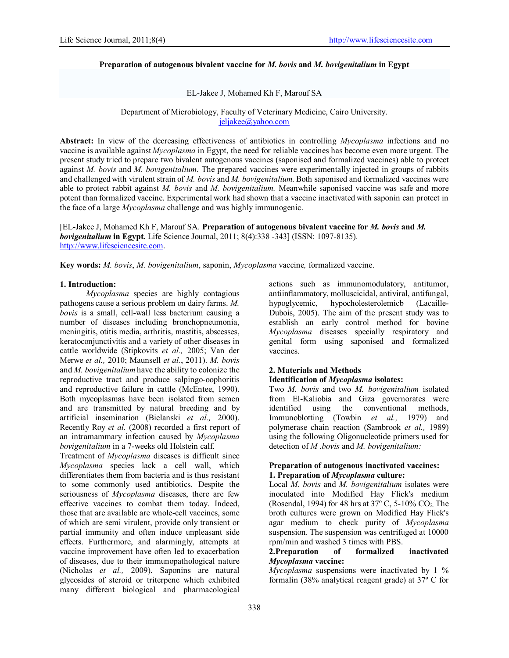# Preparation of autogenous bivalent vaccine for *M. bovis* and *M. bovigenitalium* in Egypt

EL-Jakee J, Mohamed Kh F, Marouf SA

Department of Microbiology, Faculty of Veterinary Medicine, Cairo University. jeljakee@yahoo.com

Abstract: In view of the decreasing effectiveness of antibiotics in controlling *Mycoplasma* infections and no vaccine is available against *Mycoplasma* in Egypt, the need for reliable vaccines has become even more urgent. The present study tried to prepare two bivalent autogenous vaccines (saponised and formalized vaccines) able to protect against *M. bovis* and *M. bovigenitalium*. The prepared vaccines were experimentally injected in groups of rabbits and challenged with virulent strain of *M. bovis* and *M. bovigenitalium.* Both saponised and formalized vaccines were able to protect rabbit against *M. bovis* and *M. bovigenitalium.* Meanwhile saponised vaccine was safe and more potent than formalized vaccine. Experimental work had shown that a vaccine inactivated with saponin can protect in the face of a large *Mycoplasma* challenge and was highly immunogenic.

[EL-Jakee J, Mohamed Kh F, Marouf SA. Preparation of autogenous bivalent vaccine for *M. bovis* and *M. bovigenitalium* in Egypt. Life Science Journal, 2011; 8(4):338 -343] (ISSN: 1097-8135). http://www.lifesciencesite.com.

Key words: *M. bovis*, *M. bovigenitalium*, saponin, *Mycoplasma* vaccine*,* formalized vaccine.

### 1. Introduction:

 *Mycoplasma* species are highly contagious pathogens cause a serious problem on dairy farms. *M. bovis* is a small, cell-wall less bacterium causing a number of diseases including bronchopneumonia, meningitis, otitis media, arthritis, mastitis, abscesses, keratoconjunctivitis and a variety of other diseases in cattle worldwide (Stipkovits *et al.,* 2005; Van der Merwe *et al.,* 2010; Maunsell *et al.*, 2011). *M. bovis* and *M. bovigenitalium* have the ability to colonize the reproductive tract and produce salpingo-oophoritis and reproductive failure in cattle (McEntee, 1990). Both mycoplasmas have been isolated from semen and are transmitted by natural breeding and by artificial insemination (Bielanski *et al.,* 2000). Recently Roy *et al.* (2008) recorded a first report of an intramammary infection caused by *Mycoplasma bovigenitalium* in a 7-weeks old Holstein calf.

Treatment of *Mycoplasma* diseases is difficult since *Mycoplasma* species lack a cell wall, which differentiates them from bacteria and is thus resistant to some commonly used antibiotics. Despite the seriousness of *Mycoplasma* diseases, there are few effective vaccines to combat them today. Indeed, those that are available are whole-cell vaccines, some of which are semi virulent, provide only transient or partial immunity and often induce unpleasant side effects. Furthermore, and alarmingly, attempts at vaccine improvement have often led to exacerbation of diseases, due to their immunopathological nature (Nicholas *et al.,* 2009). Saponins are natural glycosides of steroid or triterpene which exhibited many different biological and pharmacological

actions such as immunomodulatory, antitumor, antiinflammatory, molluscicidal, antiviral, antifungal, hypoglycemic, hypocholesterolemicb (Lacaille-Dubois, 2005). The aim of the present study was to establish an early control method for bovine *Mycoplasma* diseases specially respiratory and genital form using saponised and formalized vaccines.

#### 2. Materials and Methods

# Identification of *Mycoplasma* isolates:

Two *M. bovis* and two *M. bovigenitalium* isolated from El-Kaliobia and Giza governorates were identified using the conventional methods, Immunoblotting (Towbin *et al.,* 1979) and polymerase chain reaction (Sambrook *et al.,* 1989) using the following Oligonucleotide primers used for detection of *M .bovis* and *M. bovigenitalium:* 

## Preparation of autogenous inactivated vaccines: 1. Preparation of *Mycoplasma* culture:

Local *M. bovis* and *M. bovigenitalium* isolates were inoculated into Modified Hay Flick's medium (Rosendal, 1994) for 48 hrs at  $37^{\circ}$  C, 5-10% CO<sub>2</sub>. The broth cultures were grown on Modified Hay Flick's agar medium to check purity of *Mycoplasma*  suspension. The suspension was centrifuged at 10000 rpm/min and washed 3 times with PBS.

# 2.Preparation of formalized inactivated *Mycoplasma* vaccine:

*Mycoplasma* suspensions were inactivated by 1 % formalin (38% analytical reagent grade) at 37º C for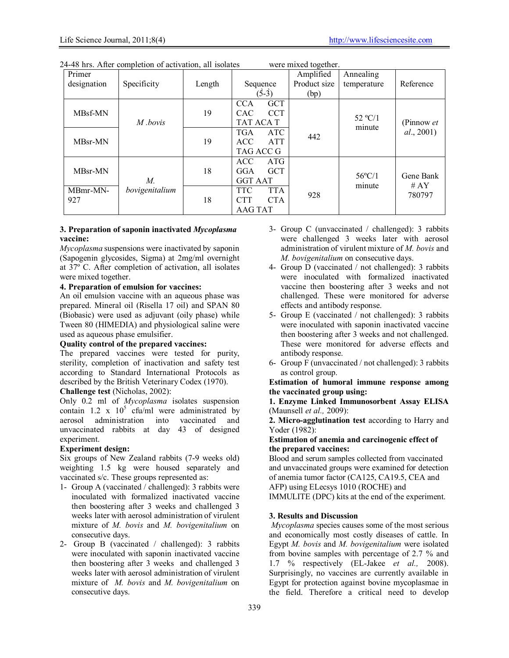| Primer      |                |        |                          | Amplified    | Annealing                   |            |
|-------------|----------------|--------|--------------------------|--------------|-----------------------------|------------|
| designation | Specificity    | Length | Sequence                 | Product size | temperature                 | Reference  |
|             |                |        | $(5-3)$                  | (bp)         |                             |            |
|             |                |        | <b>GCT</b><br><b>CCA</b> |              |                             |            |
| MBsf-MN     |                | 19     | <b>CCT</b><br>CAC        |              |                             |            |
|             | M bovis        |        | TAT ACA T                |              | $52 \text{ °C}/1$<br>minute | (Pinnow et |
|             |                |        | <b>TGA</b><br><b>ATC</b> | 442          |                             | al., 2001) |
| MBsr-MN     |                | 19     | <b>ACC</b><br><b>ATT</b> |              |                             |            |
|             |                |        | TAG ACC G                |              |                             |            |
|             |                |        | <b>ACC</b><br>ATG        |              |                             |            |
| MBsr-MN     |                | 18     | <b>GCT</b><br>GGA        |              |                             | Gene Bank  |
|             | М.             |        | <b>GGT AAT</b>           |              | $56^{\circ}$ C/1            | # $AY$     |
| MBmr-MN-    | bovigenitalium |        | <b>TTC</b><br><b>TTA</b> | 928          | minute                      | 780797     |
| 927         |                | 18     | <b>CTA</b><br><b>CTT</b> |              |                             |            |
|             |                |        | <b>AAG TAT</b>           |              |                             |            |

24-48 hrs. After completion of activation, all isolates were mixed together.

## 3. Preparation of saponin inactivated *Mycoplasma* vaccine:

*Mycoplasma* suspensions were inactivated by saponin (Sapogenin glycosides, Sigma) at 2mg/ml overnight at 37º C. After completion of activation, all isolates were mixed together.

# 4. Preparation of emulsion for vaccines:

An oil emulsion vaccine with an aqueous phase was prepared. Mineral oil (Risella 17 oil) and SPAN 80 (Biobasic) were used as adjuvant (oily phase) while Tween 80 (HIMEDIA) and physiological saline were used as aqueous phase emulsifier.

# Quality control of the prepared vaccines:

The prepared vaccines were tested for purity, sterility, completion of inactivation and safety test according to Standard International Protocols as described by the British Veterinary Codex (1970).

# Challenge test (Nicholas, 2002):

Only 0.2 ml of *Mycoplasma* isolates suspension contain 1.2 x  $10^5$  cfu/ml were administrated by aerosol administration into vaccinated and unvaccinated rabbits at day 43 of designed experiment.

# Experiment design:

Six groups of New Zealand rabbits (7-9 weeks old) weighting 1.5 kg were housed separately and vaccinated s/c. These groups represented as:

- 1- Group A (vaccinated / challenged): 3 rabbits were inoculated with formalized inactivated vaccine then boostering after 3 weeks and challenged 3 weeks later with aerosol administration of virulent mixture of *M. bovis* and *M. bovigenitalium* on consecutive days.
- 2- Group B (vaccinated / challenged): 3 rabbits were inoculated with saponin inactivated vaccine then boostering after 3 weeks and challenged 3 weeks later with aerosol administration of virulent mixture of *M. bovis* and *M. bovigenitalium* on consecutive days.
- 3- Group C (unvaccinated / challenged): 3 rabbits were challenged 3 weeks later with aerosol administration of virulent mixture of *M. bovis* and *M. bovigenitalium* on consecutive days.
- 4- Group D (vaccinated / not challenged): 3 rabbits were inoculated with formalized inactivated vaccine then boostering after 3 weeks and not challenged. These were monitored for adverse effects and antibody response.
- 5- Group E (vaccinated / not challenged): 3 rabbits were inoculated with saponin inactivated vaccine then boostering after 3 weeks and not challenged. These were monitored for adverse effects and antibody response.
- 6- Group F (unvaccinated / not challenged): 3 rabbits as control group.

Estimation of humoral immune response among the vaccinated group using:

### 1. Enzyme Linked Immunosorbent Assay ELISA (Maunsell *et al.,* 2009):

2. Micro-agglutination test according to Harry and Yoder (1982):

## Estimation of anemia and carcinogenic effect of the prepared vaccines:

Blood and serum samples collected from vaccinated and unvaccinated groups were examined for detection of anemia tumor factor (CA125, CA19.5, CEA and AFP) using ELecsys 1010 (ROCHE) and IMMULITE (DPC) kits at the end of the experiment.

# 3. Results and Discussion

*Mycoplasma* species causes some of the most serious and economically most costly diseases of cattle. In Egypt *M. bovis* and *M. bovigenitalium* were isolated from bovine samples with percentage of 2.7 % and 1.7 % respectively (EL-Jakee *et al.,* 2008). Surprisingly, no vaccines are currently available in Egypt for protection against bovine mycoplasmae in the field. Therefore a critical need to develop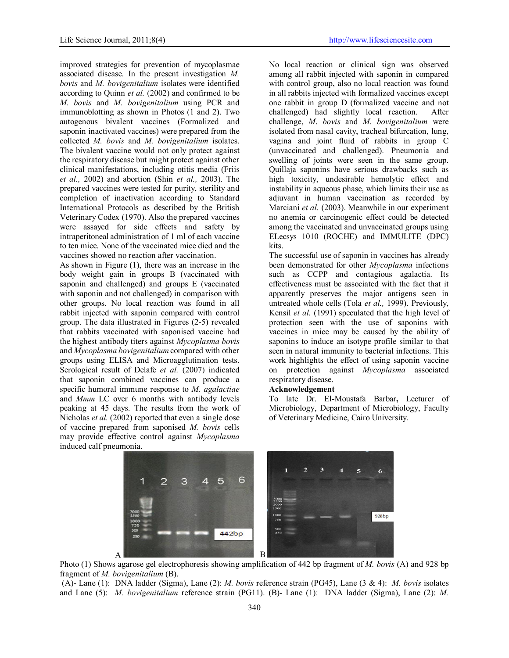improved strategies for prevention of mycoplasmae associated disease. In the present investigation *M. bovis* and *M. bovigenitalium* isolates were identified according to Quinn *et al.* (2002) and confirmed to be *M. bovis* and *M. bovigenitalium* using PCR and immunoblotting as shown in Photos (1 and 2). Two autogenous bivalent vaccines (Formalized and saponin inactivated vaccines) were prepared from the collected *M. bovis* and *M. bovigenitalium* isolates. The bivalent vaccine would not only protect against the respiratory disease but might protect against other clinical manifestations, including otitis media (Friis *et al.,* 2002) and abortion (Shin *et al.,* 2003). The prepared vaccines were tested for purity, sterility and completion of inactivation according to Standard International Protocols as described by the British Veterinary Codex (1970). Also the prepared vaccines were assayed for side effects and safety by intraperitoneal administration of 1 ml of each vaccine to ten mice. None of the vaccinated mice died and the vaccines showed no reaction after vaccination.

As shown in Figure (1), there was an increase in the body weight gain in groups B (vaccinated with saponin and challenged) and groups E (vaccinated with saponin and not challenged) in comparison with other groups. No local reaction was found in all rabbit injected with saponin compared with control group. The data illustrated in Figures (2-5) revealed that rabbits vaccinated with saponised vaccine had the highest antibody titers against *Mycoplasma bovis* and *Mycoplasma bovigenitalium* compared with other groups using ELISA and Microagglutination tests. Serological result of Delafe *et al.* (2007) indicated that saponin combined vaccines can produce a specific humoral immune response to *M. agalactiae*  and *Mmm* LC over 6 months with antibody levels peaking at 45 days. The results from the work of Nicholas *et al.* (2002) reported that even a single dose of vaccine prepared from saponised *M. bovis* cells may provide effective control against *Mycoplasma* induced calf pneumonia.

No local reaction or clinical sign was observed among all rabbit injected with saponin in compared with control group, also no local reaction was found in all rabbits injected with formalized vaccines except one rabbit in group D (formalized vaccine and not challenged) had slightly local reaction. After challenge, *M*. *bovis* and *M*. *bovigenitalium* were isolated from nasal cavity, tracheal bifurcation, lung, vagina and joint fluid of rabbits in group C (unvaccinated and challenged). Pneumonia and swelling of joints were seen in the same group. Quillaja saponins have serious drawbacks such as high toxicity, undesirable hemolytic effect and instability in aqueous phase, which limits their use as adjuvant in human vaccination as recorded by Marciani *et al.* (2003). Meanwhile in our experiment no anemia or carcinogenic effect could be detected among the vaccinated and unvaccinated groups using ELecsys 1010 (ROCHE) and IMMULITE (DPC) kits.

The successful use of saponin in vaccines has already been demonstrated for other *Mycoplasma* infections such as CCPP and contagious agalactia. Its effectiveness must be associated with the fact that it apparently preserves the major antigens seen in untreated whole cells (Tola *et al.,* 1999). Previously, Kensil *et al.* (1991) speculated that the high level of protection seen with the use of saponins with vaccines in mice may be caused by the ability of saponins to induce an isotype profile similar to that seen in natural immunity to bacterial infections. This work highlights the effect of using saponin vaccine on protection against *Mycoplasma* associated respiratory disease.

### Acknowledgement

To late Dr. El-Moustafa Barbar, Lecturer of Microbiology, Department of Microbiology, Faculty of Veterinary Medicine, Cairo University.



Photo (1) Shows agarose gel electrophoresis showing amplification of 442 bp fragment of *M. bovis* (A) and 928 bp fragment of *M. bovigenitalium* (B).

 (A)- Lane (1): DNA ladder (Sigma), Lane (2): *M. bovis* reference strain (PG45), Lane (3 & 4): *M. bovis* isolates and Lane (5): *M. bovigenitalium* reference strain (PG11). (B)- Lane (1): DNA ladder (Sigma), Lane (2): *M.*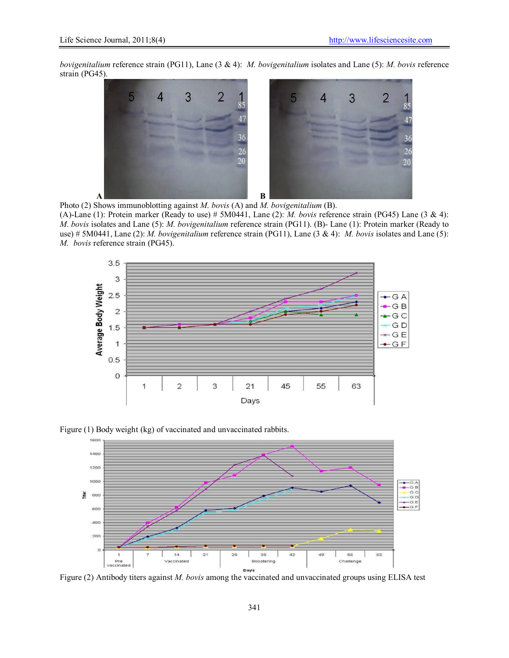*bovigenitalium* reference strain (PG11), Lane (3 & 4): *M. bovigenitalium* isolates and Lane (5): *M. bovis* reference strain (PG45).



Photo (2) Shows immunoblotting against *M. bovis* (A) and *M. bovigenitalium* (B).

(A)-Lane (1): Protein marker (Ready to use) # 5M0441, Lane (2): *M. bovis* reference strain (PG45) Lane (3 & 4): *M. bovis* isolates and Lane (5): *M. bovigenitalium* reference strain (PG11). (B)- Lane (1): Protein marker (Ready to use) # 5M0441, Lane (2): *M. bovigenitalium* reference strain (PG11), Lane (3 & 4): *M. bovis* isolates and Lane (5): *M. bovis* reference strain (PG45).



Figure (1) Body weight (kg) of vaccinated and unvaccinated rabbits.



Figure (2) Antibody titers against *M. bovis* among the vaccinated and unvaccinated groups using ELISA test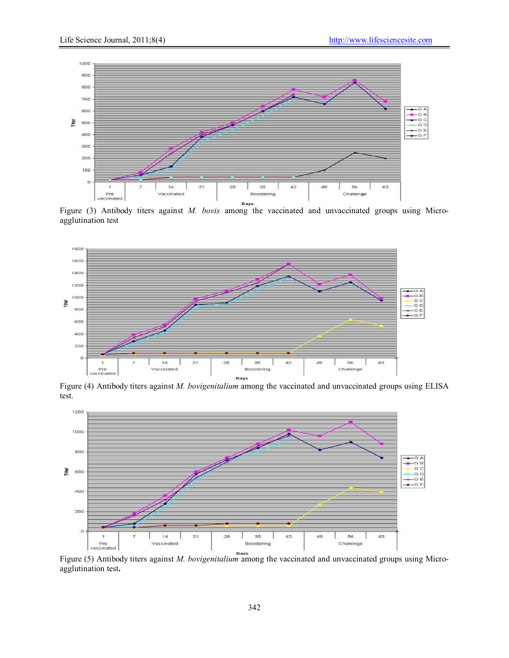

Figure (3) Antibody titers against *M. bovis* among the vaccinated and unvaccinated groups using Microagglutination test



Figure (4) Antibody titers against *M. bovigenitalium* among the vaccinated and unvaccinated groups using ELISA test.



Figure (5) Antibody titers against *M. bovigenitalium* among the vaccinated and unvaccinated groups using Microagglutination test.